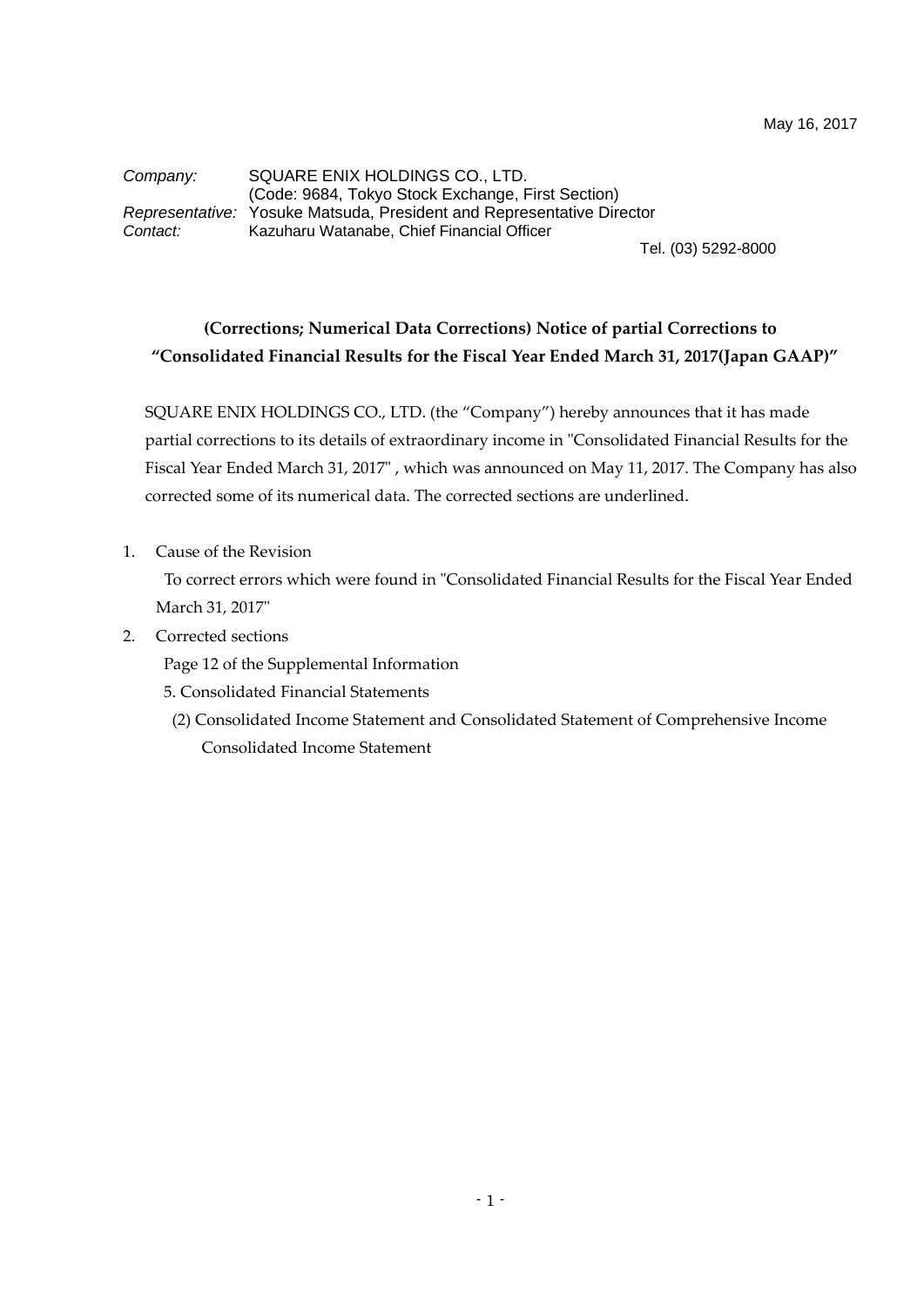*Company:* SQUARE ENIX HOLDINGS CO., LTD. (Code: 9684, Tokyo Stock Exchange, First Section) *Representative:* Yosuke Matsuda, President and Representative Director *Contact:* Kazuharu Watanabe, Chief Financial Officer

Tel. (03) 5292-8000

## **(Corrections; Numerical Data Corrections) Notice of partial Corrections to "Consolidated Financial Results for the Fiscal Year Ended March 31, 2017(Japan GAAP)"**

SQUARE ENIX HOLDINGS CO., LTD. (the "Company") hereby announces that it has made partial corrections to its details of extraordinary income in "Consolidated Financial Results for the Fiscal Year Ended March 31, 2017", which was announced on May 11, 2017. The Company has also corrected some of its numerical data. The corrected sections are underlined.

1. Cause of the Revision

To correct errors which were found in "Consolidated Financial Results for the Fiscal Year Ended March 31, 2017"

2. Corrected sections

Page 12 of the Supplemental Information

- 5. Consolidated Financial Statements
	- (2) Consolidated Income Statement and Consolidated Statement of Comprehensive Income Consolidated Income Statement